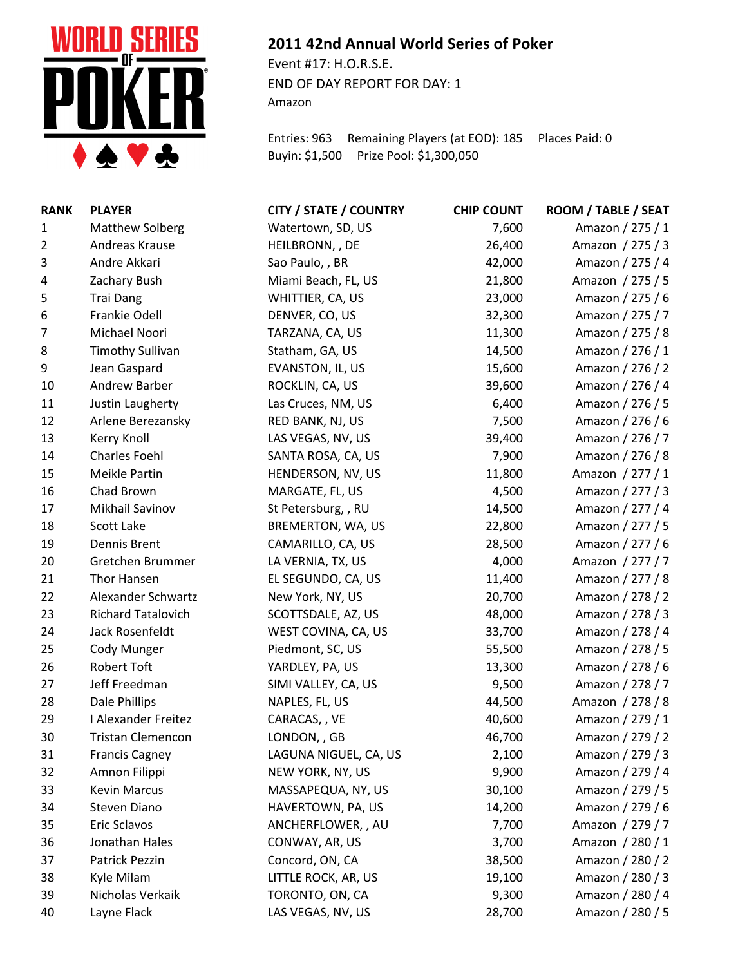

## **2011 42nd Annual World Series of Poker**

Event #17: H.O.R.S.E. END OF DAY REPORT FOR DAY: 1 Amazon

Entries: 963 Remaining Players (at EOD): 185 Places Paid: 0 Buyin: \$1,500 Prize Pool: \$1,300,050

| <b>RANK</b>    | <b>PLAYER</b>            | <b>CITY / STATE / COUNTRY</b> | <b>CHIP COUNT</b> | ROOM / TABLE / SEAT |
|----------------|--------------------------|-------------------------------|-------------------|---------------------|
| $\mathbf{1}$   | <b>Matthew Solberg</b>   | Watertown, SD, US             | 7,600             | Amazon / 275 / 1    |
| $\overline{2}$ | Andreas Krause           | HEILBRONN, , DE               | 26,400            | Amazon / 275 / 3    |
| 3              | Andre Akkari             | Sao Paulo, , BR               | 42,000            | Amazon / 275 / 4    |
| 4              | Zachary Bush             | Miami Beach, FL, US           | 21,800            | Amazon / 275 / 5    |
| 5              | <b>Trai Dang</b>         | WHITTIER, CA, US              | 23,000            | Amazon / 275 / 6    |
| 6              | Frankie Odell            | DENVER, CO, US                | 32,300            | Amazon / 275 / 7    |
| 7              | Michael Noori            | TARZANA, CA, US               | 11,300            | Amazon / 275 / 8    |
| 8              | <b>Timothy Sullivan</b>  | Statham, GA, US               | 14,500            | Amazon / 276 / 1    |
| 9              | Jean Gaspard             | EVANSTON, IL, US              | 15,600            | Amazon / 276 / 2    |
| 10             | <b>Andrew Barber</b>     | ROCKLIN, CA, US               | 39,600            | Amazon / 276 / 4    |
| 11             | Justin Laugherty         | Las Cruces, NM, US            | 6,400             | Amazon / 276 / 5    |
| 12             | Arlene Berezansky        | RED BANK, NJ, US              | 7,500             | Amazon / 276 / 6    |
| 13             | Kerry Knoll              | LAS VEGAS, NV, US             | 39,400            | Amazon / 276 / 7    |
| 14             | <b>Charles Foehl</b>     | SANTA ROSA, CA, US            | 7,900             | Amazon / 276 / 8    |
| 15             | Meikle Partin            | HENDERSON, NV, US             | 11,800            | Amazon / 277 / 1    |
| 16             | Chad Brown               | MARGATE, FL, US               | 4,500             | Amazon / 277 / 3    |
| 17             | Mikhail Savinov          | St Petersburg, , RU           | 14,500            | Amazon / 277 / 4    |
| 18             | Scott Lake               | BREMERTON, WA, US             | 22,800            | Amazon / 277 / 5    |
| 19             | Dennis Brent             | CAMARILLO, CA, US             | 28,500            | Amazon / 277 / 6    |
| 20             | Gretchen Brummer         | LA VERNIA, TX, US             | 4,000             | Amazon / 277 / 7    |
| 21             | Thor Hansen              | EL SEGUNDO, CA, US            | 11,400            | Amazon / 277 / 8    |
| 22             | Alexander Schwartz       | New York, NY, US              | 20,700            | Amazon / 278 / 2    |
| 23             | Richard Tatalovich       | SCOTTSDALE, AZ, US            | 48,000            | Amazon / 278 / 3    |
| 24             | Jack Rosenfeldt          | WEST COVINA, CA, US           | 33,700            | Amazon / 278 / 4    |
| 25             | Cody Munger              | Piedmont, SC, US              | 55,500            | Amazon / 278 / 5    |
| 26             | Robert Toft              | YARDLEY, PA, US               | 13,300            | Amazon / 278 / 6    |
| 27             | Jeff Freedman            | SIMI VALLEY, CA, US           | 9,500             | Amazon / 278 / 7    |
| 28             | Dale Phillips            | NAPLES, FL, US                | 44,500            | Amazon / 278 / 8    |
| 29             | I Alexander Freitez      | CARACAS, , VE                 | 40,600            | Amazon / 279 / 1    |
| 30             | <b>Tristan Clemencon</b> | LONDON, , GB                  | 46,700            | Amazon / 279 / 2    |
| 31             | <b>Francis Cagney</b>    | LAGUNA NIGUEL, CA, US         | 2,100             | Amazon / 279 / 3    |
| 32             | Amnon Filippi            | NEW YORK, NY, US              | 9,900             | Amazon / 279 / 4    |
| 33             | <b>Kevin Marcus</b>      | MASSAPEQUA, NY, US            | 30,100            | Amazon / 279 / 5    |
| 34             | Steven Diano             | HAVERTOWN, PA, US             | 14,200            | Amazon / 279 / 6    |
| 35             | Eric Sclavos             | ANCHERFLOWER, , AU            | 7,700             | Amazon / 279 / 7    |
| 36             | Jonathan Hales           | CONWAY, AR, US                | 3,700             | Amazon / 280 / 1    |
| 37             | Patrick Pezzin           | Concord, ON, CA               | 38,500            | Amazon / 280 / 2    |
| 38             | Kyle Milam               | LITTLE ROCK, AR, US           | 19,100            | Amazon / 280 / 3    |
| 39             | Nicholas Verkaik         | TORONTO, ON, CA               | 9,300             | Amazon / 280 / 4    |
| 40             | Layne Flack              | LAS VEGAS, NV, US             | 28,700            | Amazon / 280 / 5    |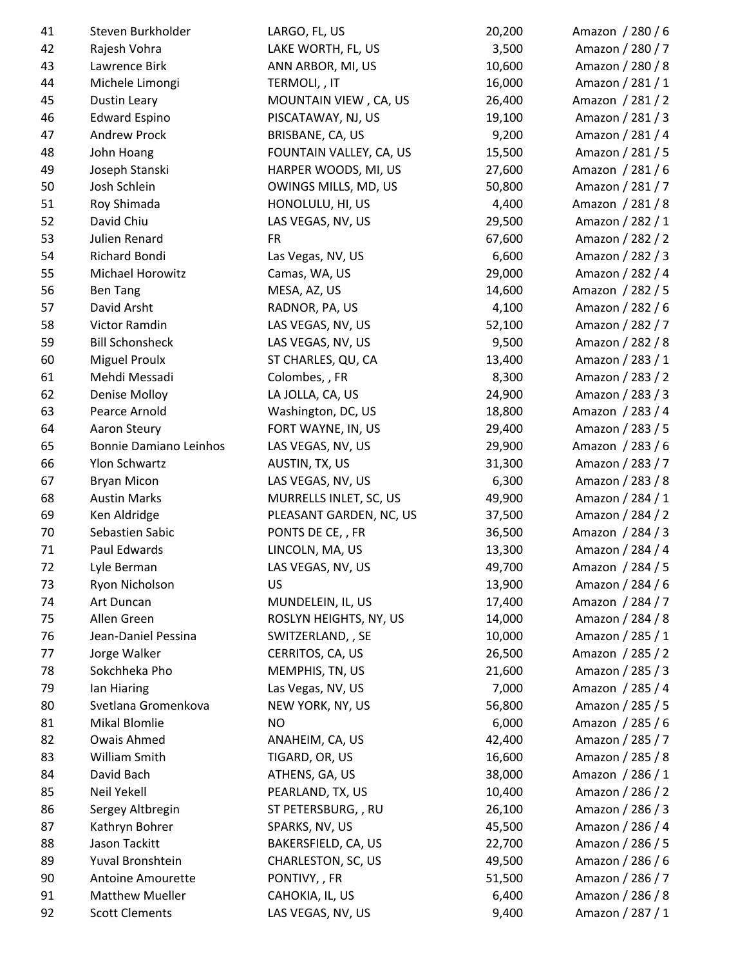| 41 | Steven Burkholder      | LARGO, FL, US           | 20,200 | Amazon / 280 / 6 |
|----|------------------------|-------------------------|--------|------------------|
| 42 | Rajesh Vohra           | LAKE WORTH, FL, US      | 3,500  | Amazon / 280 / 7 |
| 43 | Lawrence Birk          | ANN ARBOR, MI, US       | 10,600 | Amazon / 280 / 8 |
| 44 | Michele Limongi        | TERMOLI, , IT           | 16,000 | Amazon / 281 / 1 |
| 45 | Dustin Leary           | MOUNTAIN VIEW, CA, US   | 26,400 | Amazon / 281 / 2 |
| 46 | <b>Edward Espino</b>   | PISCATAWAY, NJ, US      | 19,100 | Amazon / 281 / 3 |
| 47 | <b>Andrew Prock</b>    | BRISBANE, CA, US        | 9,200  | Amazon / 281 / 4 |
| 48 | John Hoang             | FOUNTAIN VALLEY, CA, US | 15,500 | Amazon / 281 / 5 |
| 49 | Joseph Stanski         | HARPER WOODS, MI, US    | 27,600 | Amazon / 281 / 6 |
| 50 | Josh Schlein           | OWINGS MILLS, MD, US    | 50,800 | Amazon / 281 / 7 |
| 51 | Roy Shimada            | HONOLULU, HI, US        | 4,400  | Amazon / 281 / 8 |
| 52 | David Chiu             | LAS VEGAS, NV, US       | 29,500 | Amazon / 282 / 1 |
| 53 | Julien Renard          | <b>FR</b>               | 67,600 | Amazon / 282 / 2 |
| 54 | Richard Bondi          | Las Vegas, NV, US       | 6,600  | Amazon / 282 / 3 |
| 55 | Michael Horowitz       | Camas, WA, US           | 29,000 | Amazon / 282 / 4 |
| 56 | <b>Ben Tang</b>        | MESA, AZ, US            | 14,600 | Amazon / 282 / 5 |
| 57 | David Arsht            | RADNOR, PA, US          | 4,100  | Amazon / 282 / 6 |
| 58 | Victor Ramdin          | LAS VEGAS, NV, US       | 52,100 | Amazon / 282 / 7 |
| 59 | <b>Bill Schonsheck</b> | LAS VEGAS, NV, US       | 9,500  | Amazon / 282 / 8 |
| 60 | <b>Miguel Proulx</b>   | ST CHARLES, QU, CA      | 13,400 | Amazon / 283 / 1 |
| 61 | Mehdi Messadi          | Colombes, , FR          | 8,300  | Amazon / 283 / 2 |
| 62 | <b>Denise Molloy</b>   | LA JOLLA, CA, US        | 24,900 | Amazon / 283 / 3 |
| 63 | Pearce Arnold          | Washington, DC, US      | 18,800 | Amazon / 283 / 4 |
| 64 | Aaron Steury           | FORT WAYNE, IN, US      | 29,400 | Amazon / 283 / 5 |
| 65 | Bonnie Damiano Leinhos | LAS VEGAS, NV, US       | 29,900 | Amazon / 283 / 6 |
| 66 | Ylon Schwartz          | AUSTIN, TX, US          | 31,300 | Amazon / 283 / 7 |
| 67 | <b>Bryan Micon</b>     | LAS VEGAS, NV, US       | 6,300  | Amazon / 283 / 8 |
| 68 | <b>Austin Marks</b>    | MURRELLS INLET, SC, US  | 49,900 | Amazon / 284 / 1 |
| 69 | Ken Aldridge           | PLEASANT GARDEN, NC, US | 37,500 | Amazon / 284 / 2 |
| 70 | Sebastien Sabic        | PONTS DE CE, , FR       | 36,500 | Amazon / 284 / 3 |
| 71 | Paul Edwards           | LINCOLN, MA, US         | 13,300 | Amazon / 284 / 4 |
| 72 | Lyle Berman            | LAS VEGAS, NV, US       | 49,700 | Amazon / 284 / 5 |
| 73 | Ryon Nicholson         | US                      | 13,900 | Amazon / 284 / 6 |
| 74 | Art Duncan             | MUNDELEIN, IL, US       | 17,400 | Amazon / 284 / 7 |
| 75 | Allen Green            | ROSLYN HEIGHTS, NY, US  | 14,000 | Amazon / 284 / 8 |
| 76 | Jean-Daniel Pessina    | SWITZERLAND, , SE       | 10,000 | Amazon / 285 / 1 |
| 77 | Jorge Walker           | CERRITOS, CA, US        | 26,500 | Amazon / 285 / 2 |
| 78 | Sokchheka Pho          | MEMPHIS, TN, US         | 21,600 | Amazon / 285 / 3 |
| 79 | lan Hiaring            | Las Vegas, NV, US       | 7,000  | Amazon / 285 / 4 |
| 80 | Svetlana Gromenkova    | NEW YORK, NY, US        | 56,800 | Amazon / 285 / 5 |
| 81 | Mikal Blomlie          | <b>NO</b>               | 6,000  | Amazon / 285 / 6 |
| 82 | Owais Ahmed            | ANAHEIM, CA, US         | 42,400 | Amazon / 285 / 7 |
| 83 | William Smith          | TIGARD, OR, US          | 16,600 | Amazon / 285 / 8 |
| 84 | David Bach             | ATHENS, GA, US          | 38,000 | Amazon / 286 / 1 |
| 85 | Neil Yekell            | PEARLAND, TX, US        | 10,400 | Amazon / 286 / 2 |
| 86 | Sergey Altbregin       | ST PETERSBURG, , RU     | 26,100 | Amazon / 286 / 3 |
| 87 | Kathryn Bohrer         | SPARKS, NV, US          | 45,500 | Amazon / 286 / 4 |
| 88 | Jason Tackitt          | BAKERSFIELD, CA, US     | 22,700 | Amazon / 286 / 5 |
| 89 | Yuval Bronshtein       | CHARLESTON, SC, US      | 49,500 | Amazon / 286 / 6 |
| 90 | Antoine Amourette      | PONTIVY,, FR            | 51,500 | Amazon / 286 / 7 |
| 91 | <b>Matthew Mueller</b> | CAHOKIA, IL, US         | 6,400  | Amazon / 286 / 8 |
| 92 | <b>Scott Clements</b>  | LAS VEGAS, NV, US       | 9,400  | Amazon / 287 / 1 |
|    |                        |                         |        |                  |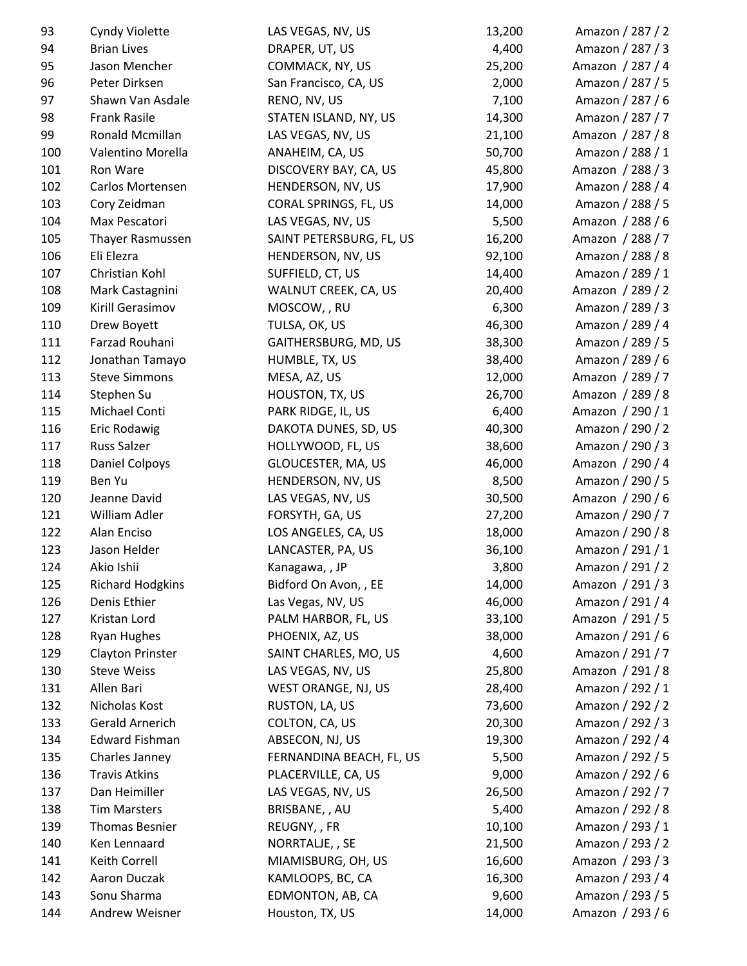| 93  | Cyndy Violette          | LAS VEGAS, NV, US        | 13,200 | Amazon / 287 / 2 |
|-----|-------------------------|--------------------------|--------|------------------|
| 94  | <b>Brian Lives</b>      | DRAPER, UT, US           | 4,400  | Amazon / 287 / 3 |
| 95  | Jason Mencher           | COMMACK, NY, US          | 25,200 | Amazon / 287 / 4 |
| 96  | Peter Dirksen           | San Francisco, CA, US    | 2,000  | Amazon / 287 / 5 |
| 97  | Shawn Van Asdale        | RENO, NV, US             | 7,100  | Amazon / 287 / 6 |
| 98  | <b>Frank Rasile</b>     | STATEN ISLAND, NY, US    | 14,300 | Amazon / 287 / 7 |
| 99  | Ronald Mcmillan         | LAS VEGAS, NV, US        | 21,100 | Amazon / 287 / 8 |
| 100 | Valentino Morella       | ANAHEIM, CA, US          | 50,700 | Amazon / 288 / 1 |
| 101 | Ron Ware                | DISCOVERY BAY, CA, US    | 45,800 | Amazon / 288 / 3 |
| 102 | Carlos Mortensen        | HENDERSON, NV, US        | 17,900 | Amazon / 288 / 4 |
| 103 | Cory Zeidman            | CORAL SPRINGS, FL, US    | 14,000 | Amazon / 288 / 5 |
| 104 | Max Pescatori           | LAS VEGAS, NV, US        | 5,500  | Amazon / 288 / 6 |
| 105 | Thayer Rasmussen        | SAINT PETERSBURG, FL, US | 16,200 | Amazon / 288 / 7 |
| 106 | Eli Elezra              | HENDERSON, NV, US        | 92,100 | Amazon / 288 / 8 |
| 107 | Christian Kohl          | SUFFIELD, CT, US         | 14,400 | Amazon / 289 / 1 |
| 108 | Mark Castagnini         | WALNUT CREEK, CA, US     | 20,400 | Amazon / 289 / 2 |
| 109 | Kirill Gerasimov        | MOSCOW, , RU             | 6,300  | Amazon / 289 / 3 |
| 110 | Drew Boyett             | TULSA, OK, US            | 46,300 | Amazon / 289 / 4 |
| 111 | Farzad Rouhani          | GAITHERSBURG, MD, US     | 38,300 | Amazon / 289 / 5 |
| 112 | Jonathan Tamayo         | HUMBLE, TX, US           | 38,400 | Amazon / 289 / 6 |
| 113 | <b>Steve Simmons</b>    | MESA, AZ, US             | 12,000 | Amazon / 289 / 7 |
| 114 | Stephen Su              | HOUSTON, TX, US          | 26,700 | Amazon / 289 / 8 |
| 115 | Michael Conti           | PARK RIDGE, IL, US       | 6,400  | Amazon / 290 / 1 |
| 116 | Eric Rodawig            | DAKOTA DUNES, SD, US     | 40,300 | Amazon / 290 / 2 |
| 117 | <b>Russ Salzer</b>      | HOLLYWOOD, FL, US        | 38,600 | Amazon / 290 / 3 |
| 118 | <b>Daniel Colpoys</b>   | GLOUCESTER, MA, US       | 46,000 | Amazon / 290 / 4 |
| 119 | Ben Yu                  | HENDERSON, NV, US        | 8,500  | Amazon / 290 / 5 |
| 120 | Jeanne David            | LAS VEGAS, NV, US        | 30,500 | Amazon / 290 / 6 |
| 121 | William Adler           | FORSYTH, GA, US          | 27,200 | Amazon / 290 / 7 |
| 122 | Alan Enciso             | LOS ANGELES, CA, US      | 18,000 | Amazon / 290 / 8 |
| 123 | Jason Helder            | LANCASTER, PA, US        | 36,100 | Amazon / 291 / 1 |
| 124 | Akio Ishii              | Kanagawa, , JP           | 3,800  | Amazon / 291 / 2 |
| 125 | <b>Richard Hodgkins</b> | Bidford On Avon, , EE    | 14,000 | Amazon / 291 / 3 |
| 126 | Denis Ethier            | Las Vegas, NV, US        | 46,000 | Amazon / 291 / 4 |
| 127 | Kristan Lord            | PALM HARBOR, FL, US      | 33,100 | Amazon / 291 / 5 |
| 128 | <b>Ryan Hughes</b>      | PHOENIX, AZ, US          | 38,000 | Amazon / 291 / 6 |
| 129 | <b>Clayton Prinster</b> | SAINT CHARLES, MO, US    | 4,600  | Amazon / 291 / 7 |
| 130 | <b>Steve Weiss</b>      | LAS VEGAS, NV, US        | 25,800 | Amazon / 291 / 8 |
| 131 | Allen Bari              | WEST ORANGE, NJ, US      | 28,400 | Amazon / 292 / 1 |
| 132 | Nicholas Kost           | RUSTON, LA, US           | 73,600 | Amazon / 292 / 2 |
| 133 | Gerald Arnerich         | COLTON, CA, US           | 20,300 | Amazon / 292 / 3 |
| 134 | <b>Edward Fishman</b>   | ABSECON, NJ, US          | 19,300 | Amazon / 292 / 4 |
| 135 | Charles Janney          | FERNANDINA BEACH, FL, US | 5,500  | Amazon / 292 / 5 |
| 136 | <b>Travis Atkins</b>    | PLACERVILLE, CA, US      | 9,000  | Amazon / 292 / 6 |
| 137 | Dan Heimiller           | LAS VEGAS, NV, US        | 26,500 | Amazon / 292 / 7 |
| 138 | <b>Tim Marsters</b>     | BRISBANE, , AU           | 5,400  | Amazon / 292 / 8 |
| 139 | Thomas Besnier          | REUGNY, , FR             | 10,100 | Amazon / 293 / 1 |
| 140 | Ken Lennaard            | NORRTALJE, , SE          | 21,500 | Amazon / 293 / 2 |
| 141 | Keith Correll           | MIAMISBURG, OH, US       | 16,600 | Amazon / 293 / 3 |
| 142 | Aaron Duczak            | KAMLOOPS, BC, CA         | 16,300 | Amazon / 293 / 4 |
| 143 | Sonu Sharma             | EDMONTON, AB, CA         | 9,600  | Amazon / 293 / 5 |
| 144 | Andrew Weisner          | Houston, TX, US          | 14,000 | Amazon / 293 / 6 |
|     |                         |                          |        |                  |